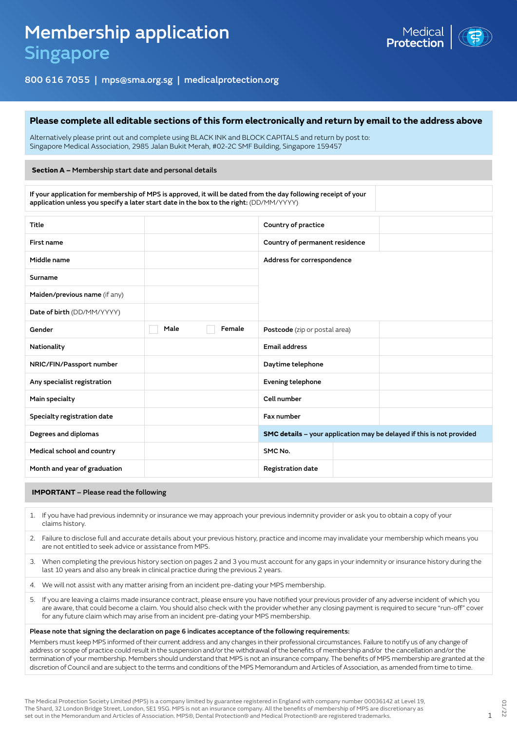

# 800 616 7055 | mps@sma.org.sg | medicalprotection.org

### **Please complete all editable sections of this form electronically and return by email to the address above**

Alternatively please print out and complete using BLACK INK and BLOCK CAPITALS and return by post to: Singapore Medical Association, 2985 Jalan Bukit Merah, #02-2C SMF Building, Singapore 159457

#### **Section A –** Membership start date and personal details

If your application for membership of MPS is approved, it will be dated from the day following receipt of your application unless you specify a later start date in the box to the right: (DD/MM/YYYY)

| Title                         |      |        | Country of practice                                                   |  |
|-------------------------------|------|--------|-----------------------------------------------------------------------|--|
| First name                    |      |        | Country of permanent residence                                        |  |
| Middle name                   |      |        | Address for correspondence                                            |  |
| Surname                       |      |        |                                                                       |  |
| Maiden/previous name (if any) |      |        |                                                                       |  |
| Date of birth (DD/MM/YYYY)    |      |        |                                                                       |  |
| Gender                        | Male | Female | Postcode (zip or postal area)                                         |  |
| Nationality                   |      |        | <b>Email address</b>                                                  |  |
| NRIC/FIN/Passport number      |      |        | Daytime telephone                                                     |  |
| Any specialist registration   |      |        | Evening telephone                                                     |  |
| Main specialty                |      |        | Cell number                                                           |  |
| Specialty registration date   |      |        | Fax number                                                            |  |
| Degrees and diplomas          |      |        | SMC details - your application may be delayed if this is not provided |  |
| Medical school and country    |      |        | SMC No.                                                               |  |
| Month and year of graduation  |      |        | <b>Registration date</b>                                              |  |

#### **IMPORTANT** – Please read the following

- 1. If you have had previous indemnity or insurance we may approach your previous indemnity provider or ask you to obtain a copy of your claims history.
- 2. Failure to disclose full and accurate details about your previous history, practice and income may invalidate your membership which means you are not entitled to seek advice or assistance from MPS.
- 3. When completing the previous history section on pages 2 and 3 you must account for any gaps in your indemnity or insurance history during the last 10 years and also any break in clinical practice during the previous 2 years.
- 4. We will not assist with any matter arising from an incident pre-dating your MPS membership.
- 5. If you are leaving a claims made insurance contract, please ensure you have notified your previous provider of any adverse incident of which you are aware, that could become a claim. You should also check with the provider whether any closing payment is required to secure "run-off" cover for any future claim which may arise from an incident pre-dating your MPS membership.

#### Please note that signing the declaration on page 6 indicates acceptance of the following requirements:

Members must keep MPS informed of their current address and any changes in their professional circumstances. Failure to notify us of any change of address or scope of practice could result in the suspension and/or the withdrawal of the benefits of membership and/or the cancellation and/or the termination of your membership. Members should understand that MPS is not an insurance company. The benefits of MPS membership are granted at the discretion of Council and are subject to the terms and conditions of the MPS Memorandum and Articles of Association, as amended from time to time.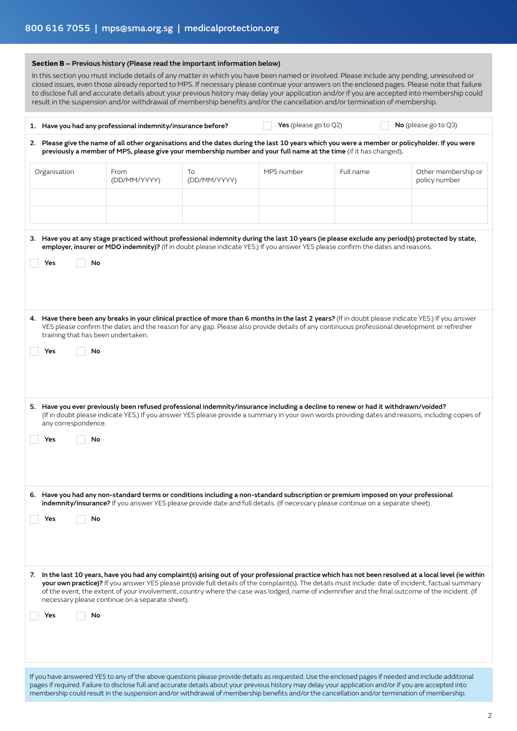| Section B - Previous history (Please read the important information below)<br>In this section you must include details of any matter in which you have been named or involved. Please include any pending, unresolved or<br>closed issues, even those already reported to MPS. If necessary please continue your answers on the enclosed pages. Please note that failure<br>to disclose full and accurate details about your previous history may delay your application and/or if you are accepted into membership could<br>result in the suspension and/or withdrawal of membership benefits and/or the cancellation and/or termination of membership. |                                                                                                                                                                                                                                                                        |                    |            |           |                                                                                                                                                                                                                                                                                                                                                                                                                                                                   |  |  |
|----------------------------------------------------------------------------------------------------------------------------------------------------------------------------------------------------------------------------------------------------------------------------------------------------------------------------------------------------------------------------------------------------------------------------------------------------------------------------------------------------------------------------------------------------------------------------------------------------------------------------------------------------------|------------------------------------------------------------------------------------------------------------------------------------------------------------------------------------------------------------------------------------------------------------------------|--------------------|------------|-----------|-------------------------------------------------------------------------------------------------------------------------------------------------------------------------------------------------------------------------------------------------------------------------------------------------------------------------------------------------------------------------------------------------------------------------------------------------------------------|--|--|
| Yes (please go to Q2)<br>No (please go to Q3)<br>1. Have you had any professional indemnity/insurance before?                                                                                                                                                                                                                                                                                                                                                                                                                                                                                                                                            |                                                                                                                                                                                                                                                                        |                    |            |           |                                                                                                                                                                                                                                                                                                                                                                                                                                                                   |  |  |
| 2. Please give the name of all other organisations and the dates during the last 10 years which you were a member or policyholder. If you were<br>previously a member of MPS, please give your membership number and your full name at the time (if it has changed).                                                                                                                                                                                                                                                                                                                                                                                     |                                                                                                                                                                                                                                                                        |                    |            |           |                                                                                                                                                                                                                                                                                                                                                                                                                                                                   |  |  |
| Organisation                                                                                                                                                                                                                                                                                                                                                                                                                                                                                                                                                                                                                                             | From<br>(DD/MM/YYYY)                                                                                                                                                                                                                                                   | To<br>(DD/MM/YYYY) | MPS number | Full name | Other membership or<br>policy number                                                                                                                                                                                                                                                                                                                                                                                                                              |  |  |
|                                                                                                                                                                                                                                                                                                                                                                                                                                                                                                                                                                                                                                                          |                                                                                                                                                                                                                                                                        |                    |            |           |                                                                                                                                                                                                                                                                                                                                                                                                                                                                   |  |  |
| No<br>Yes                                                                                                                                                                                                                                                                                                                                                                                                                                                                                                                                                                                                                                                | employer, insurer or MDO indemnity)? (If in doubt please indicate YES.) If you answer YES please confirm the dates and reasons.                                                                                                                                        |                    |            |           | 3. Have you at any stage practiced without professional indemnity during the last 10 years (ie please exclude any period(s) protected by state,                                                                                                                                                                                                                                                                                                                   |  |  |
| 4. Have there been any breaks in your clinical practice of more than 6 months in the last 2 years? (If in doubt please indicate YES.) If you answer<br>YES please confirm the dates and the reason for any gap. Please also provide details of any continuous professional development or refresher<br>training that has been undertaken.<br>No<br>Yes                                                                                                                                                                                                                                                                                                   |                                                                                                                                                                                                                                                                        |                    |            |           |                                                                                                                                                                                                                                                                                                                                                                                                                                                                   |  |  |
| any correspondence.<br>$\Box$ No<br>$\Box$ Yes                                                                                                                                                                                                                                                                                                                                                                                                                                                                                                                                                                                                           | 5. Have you ever previously been refused professional indemnity/insurance including a decline to renew or had it withdrawn/voided?                                                                                                                                     |                    |            |           | (If in doubt please indicate YES.) If you answer YES please provide a summary in your own words providing dates and reasons, including copies of                                                                                                                                                                                                                                                                                                                  |  |  |
| No<br>Yes                                                                                                                                                                                                                                                                                                                                                                                                                                                                                                                                                                                                                                                | 6. Have you had any non-standard terms or conditions including a non-standard subscription or premium imposed on your professional<br>indemnity/insurance? If you answer YES please provide date and full details. (If necessary please continue on a separate sheet). |                    |            |           |                                                                                                                                                                                                                                                                                                                                                                                                                                                                   |  |  |
| No<br>Yes                                                                                                                                                                                                                                                                                                                                                                                                                                                                                                                                                                                                                                                | necessary please continue on a separate sheet).                                                                                                                                                                                                                        |                    |            |           | 7. In the last 10 years, have you had any complaint(s) arising out of your professional practice which has not been resolved at a local level (ie within<br>your own practice)? If you answer YES please provide full details of the complaint(s). The details must include: date of incident, factual summary<br>of the event, the extent of your involvement, country where the case was lodged, name of indemnifier and the final outcome of the incident. (If |  |  |

If you have answered YES to any of the above questions please provide details as requested. Use the enclosed pages if needed and include additional pages if required. Failure to disclose full and accurate details about your previous history may delay your application and/or if you are accepted into membership could result in the suspension and/or withdrawal of membership benefits and/or the cancellation and/or termination of membership.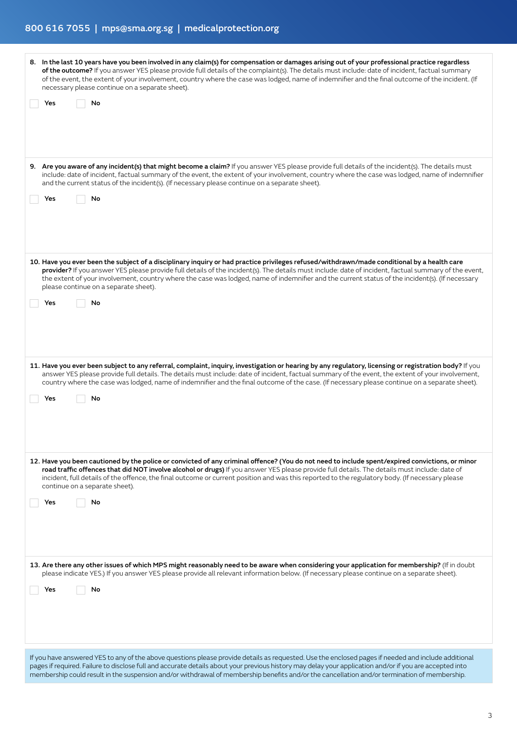| 8. In the last 10 years have you been involved in any claim(s) for compensation or damages arising out of your professional practice regardless<br>of the outcome? If you answer YES please provide full details of the complaint(s). The details must include: date of incident, factual summary<br>of the event, the extent of your involvement, country where the case was lodged, name of indemnifier and the final outcome of the incident. (If<br>necessary please continue on a separate sheet).       |  |
|---------------------------------------------------------------------------------------------------------------------------------------------------------------------------------------------------------------------------------------------------------------------------------------------------------------------------------------------------------------------------------------------------------------------------------------------------------------------------------------------------------------|--|
| No<br>Yes                                                                                                                                                                                                                                                                                                                                                                                                                                                                                                     |  |
| 9. Are you aware of any incident(s) that might become a claim? If you answer YES please provide full details of the incident(s). The details must<br>include: date of incident, factual summary of the event, the extent of your involvement, country where the case was lodged, name of indemnifier<br>and the current status of the incident(s). (If necessary please continue on a separate sheet).<br>No<br>Yes                                                                                           |  |
| 10. Have you ever been the subject of a disciplinary inquiry or had practice privileges refused/withdrawn/made conditional by a health care<br>provider? If you answer YES please provide full details of the incident(s). The details must include: date of incident, factual summary of the event,<br>the extent of your involvement, country where the case was lodged, name of indemnifier and the current status of the incident(s). (If necessary<br>please continue on a separate sheet).<br>No<br>Yes |  |
| 11. Have you ever been subject to any referral, complaint, inquiry, investigation or hearing by any regulatory, licensing or registration body? If you<br>answer YES please provide full details. The details must include: date of incident, factual summary of the event, the extent of your involvement,<br>country where the case was lodged, name of indemnifier and the final outcome of the case. (If necessary please continue on a separate sheet).                                                  |  |
| No<br>Yes                                                                                                                                                                                                                                                                                                                                                                                                                                                                                                     |  |
| 12. Have you been cautioned by the police or convicted of any criminal offence? (You do not need to include spent/expired convictions, or minor<br>road traffic offences that did NOT involve alcohol or drugs) If you answer YES please provide full details. The details must include: date of<br>incident, full details of the offence, the final outcome or current position and was this reported to the regulatory body. (If necessary please<br>continue on a separate sheet).<br>Yes<br>No            |  |
| 13. Are there any other issues of which MPS might reasonably need to be aware when considering your application for membership? (If in doubt<br>please indicate YES.) If you answer YES please provide all relevant information below. (If necessary please continue on a separate sheet).<br>No<br>Yes                                                                                                                                                                                                       |  |
| If you have answered YES to any of the above questions please provide details as requested. Use the enclosed pages if needed and include additional<br>pages if required. Failure to disclose full and accurate details about your previous history may delay your application and/or if you are accepted into<br>membership could result in the suspension and/or withdrawal of membership benefits and/or the cancellation and/or termination of membership.                                                |  |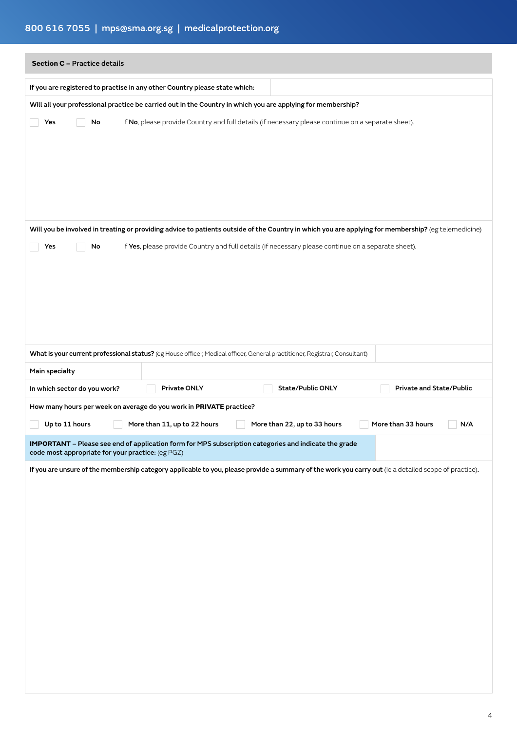# 800 616 7055 | mps@sma.org.sg | medicalprotection.org

| <b>Section C - Practice details</b>                                                                                                                        |
|------------------------------------------------------------------------------------------------------------------------------------------------------------|
| If you are registered to practise in any other Country please state which:                                                                                 |
| Will all your professional practice be carried out in the Country in which you are applying for membership?                                                |
| If No, please provide Country and full details (if necessary please continue on a separate sheet).<br>Yes<br>No                                            |
| Will you be involved in treating or providing advice to patients outside of the Country in which you are applying for membership? (eg telemedicine)        |
| If Yes, please provide Country and full details (if necessary please continue on a separate sheet).<br>Yes<br>No                                           |
| What is your current professional status? (eg House officer, Medical officer, General practitioner, Registrar, Consultant)                                 |
| Main specialty                                                                                                                                             |
| Private ONLY<br>State/Public ONLY<br>Private and State/Public<br>In which sector do you work?                                                              |
| How many hours per week on average do you work in PRIVATE practice?                                                                                        |
| More than 22, up to 33 hours<br>Up to 11 hours<br>More than 11, up to 22 hours<br>More than 33 hours<br>N/A                                                |
| IMPORTANT - Please see end of application form for MPS subscription categories and indicate the grade<br>code most appropriate for your practice: (eg PGZ) |
| If you are unsure of the membership category applicable to you, please provide a summary of the work you carry out (ie a detailed scope of practice).      |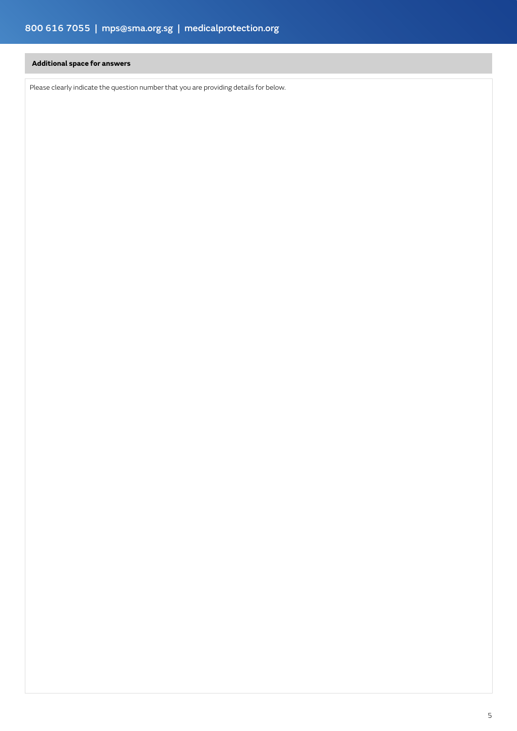# **Additional space for answers**

Please clearly indicate the question number that you are providing details for below.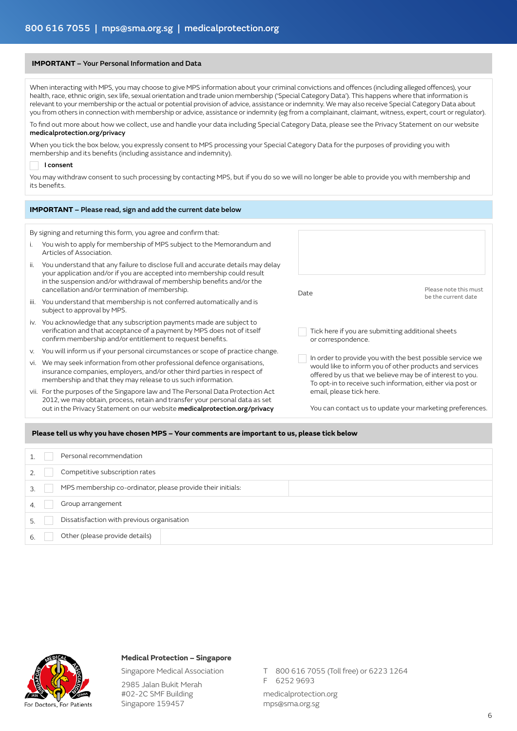#### **IMPORTANT** – Your Personal Information and Data

When interacting with MPS, you may choose to give MPS information about your criminal convictions and offences (including alleged offences), your health, race, ethnic origin, sex life, sexual orientation and trade union membership ('Special Category Data'). This happens where that information is relevant to your membership or the actual or potential provision of advice, assistance or indemnity. We may also receive Special Category Data about you from others in connection with membership or advice, assistance or indemnity (eg from a complainant, claimant, witness, expert, court or regulator).

To find out more about how we collect, use and handle your data including Special Category Data, please see the Privacy Statement on our website medicalprotection.org/privacy

When you tick the box below, you expressly consent to MPS processing your Special Category Data for the purposes of providing you with membership and its benefits (including assistance and indemnity).

#### I consent

You may withdraw consent to such processing by contacting MPS, but if you do so we will no longer be able to provide you with membership and its benefits.

|      | <b>IMPORTANT</b> - Please read, sign and add the current date below                                                                                                                                                                                                                    |                          |                                                                                                                                                                                                                                               |
|------|----------------------------------------------------------------------------------------------------------------------------------------------------------------------------------------------------------------------------------------------------------------------------------------|--------------------------|-----------------------------------------------------------------------------------------------------------------------------------------------------------------------------------------------------------------------------------------------|
|      | By signing and returning this form, you agree and confirm that:                                                                                                                                                                                                                        |                          |                                                                                                                                                                                                                                               |
|      | You wish to apply for membership of MPS subject to the Memorandum and<br>Articles of Association                                                                                                                                                                                       |                          |                                                                                                                                                                                                                                               |
| ii.  | You understand that any failure to disclose full and accurate details may delay<br>your application and/or if you are accepted into membership could result<br>in the suspension and/or withdrawal of membership benefits and/or the<br>cancellation and/or termination of membership. | Date                     | Please note this must                                                                                                                                                                                                                         |
| iii. | You understand that membership is not conferred automatically and is<br>subject to approval by MPS.                                                                                                                                                                                    |                          | be the current date                                                                                                                                                                                                                           |
| İV.  | You acknowledge that any subscription payments made are subject to<br>verification and that acceptance of a payment by MPS does not of itself<br>confirm membership and/or entitlement to request benefits.                                                                            | or correspondence.       | Tick here if you are submitting additional sheets                                                                                                                                                                                             |
| V.   | You will inform us if your personal circumstances or scope of practice change.                                                                                                                                                                                                         |                          |                                                                                                                                                                                                                                               |
| vi.  | We may seek information from other professional defence organisations,<br>insurance companies, employers, and/or other third parties in respect of<br>membership and that they may release to us such information.                                                                     |                          | In order to provide you with the best possible service we<br>would like to inform you of other products and services<br>offered by us that we believe may be of interest to you.<br>To opt-in to receive such information, either via post or |
|      | vii. For the purposes of the Singapore law and The Personal Data Protection Act<br>2012, we may obtain, process, retain and transfer your personal data as set                                                                                                                         | email, please tick here. |                                                                                                                                                                                                                                               |
|      | out in the Privacy Statement on our website medicalprotection.org/privacy                                                                                                                                                                                                              |                          | You can contact us to update your marketing preferences.                                                                                                                                                                                      |

#### **Please tell us why you have chosen MPS – Your comments are important to us, please tick below**

| Personal recommendation                                                      |
|------------------------------------------------------------------------------|
|                                                                              |
| Competitive subscription rates                                               |
| MPS membership co-ordinator, please provide their initials:<br>$\mathcal{L}$ |
| Group arrangement                                                            |
| Dissatisfaction with previous organisation                                   |
| Other (please provide details)                                               |



# **Medical Protection – Singapore**

Singapore Medical Association

2985 Jalan Bukit Merah #02-2C SMF Building Singapore 159457

T 800 616 7055 (Toll free) or 6223 1264

F 6252 9693

medicalprotection.org mps@sma.org.sg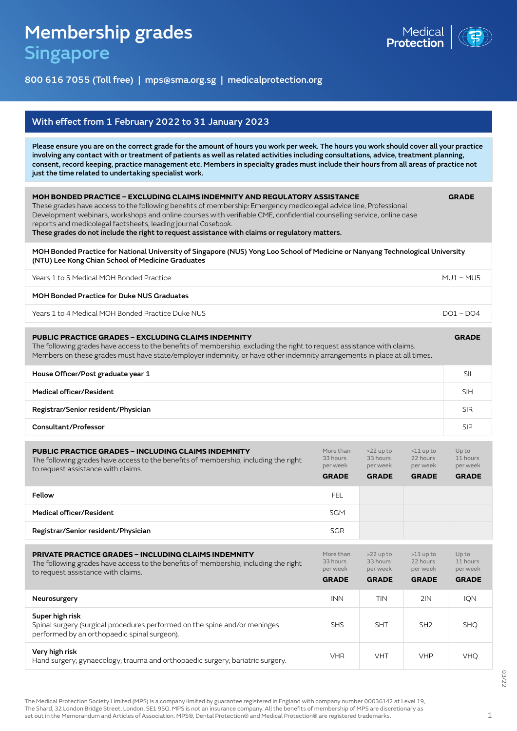# Membership grades Singapore



800 616 7055 (Toll free) | mps@sma.org.sg | medicalprotection.org

| With effect from 1 February 2022 to 31 January 2023                                                                                                                                                                                                                                                                                                                                                                                                                                         |                                                   |                                                     |                                                     |                                               |  |  |  |
|---------------------------------------------------------------------------------------------------------------------------------------------------------------------------------------------------------------------------------------------------------------------------------------------------------------------------------------------------------------------------------------------------------------------------------------------------------------------------------------------|---------------------------------------------------|-----------------------------------------------------|-----------------------------------------------------|-----------------------------------------------|--|--|--|
| Please ensure you are on the correct grade for the amount of hours you work per week. The hours you work should cover all your practice<br>involving any contact with or treatment of patients as well as related activities including consultations, advice, treatment planning,<br>consent, record keeping, practice management etc. Members in specialty grades must include their hours from all areas of practice not<br>just the time related to undertaking specialist work.         |                                                   |                                                     |                                                     |                                               |  |  |  |
| MOH BONDED PRACTICE – EXCLUDING CLAIMS INDEMNITY AND REGULATORY ASSISTANCE<br>These grades have access to the following benefits of membership: Emergency medicolegal advice line, Professional<br>Development webinars, workshops and online courses with verifiable CME, confidential counselling service, online case<br>reports and medicolegal factsheets, leading journal Casebook.<br>These grades do not include the right to request assistance with claims or regulatory matters. |                                                   |                                                     |                                                     |                                               |  |  |  |
| MOH Bonded Practice for National University of Singapore (NUS) Yong Loo School of Medicine or Nanyang Technological University<br>(NTU) Lee Kong Chian School of Medicine Graduates                                                                                                                                                                                                                                                                                                         |                                                   |                                                     |                                                     |                                               |  |  |  |
| Years 1 to 5 Medical MOH Bonded Practice                                                                                                                                                                                                                                                                                                                                                                                                                                                    |                                                   |                                                     |                                                     | $MUI - MUS$                                   |  |  |  |
| MOH Bonded Practice for Duke NUS Graduates                                                                                                                                                                                                                                                                                                                                                                                                                                                  |                                                   |                                                     |                                                     |                                               |  |  |  |
| Years 1 to 4 Medical MOH Bonded Practice Duke NUS                                                                                                                                                                                                                                                                                                                                                                                                                                           |                                                   |                                                     |                                                     | $DO1 - DO4$                                   |  |  |  |
| <b>PUBLIC PRACTICE GRADES - EXCLUDING CLAIMS INDEMNITY</b><br><b>GRADE</b><br>The following grades have access to the benefits of membership, excluding the right to request assistance with claims.<br>Members on these grades must have state/employer indemnity, or have other indemnity arrangements in place at all times.                                                                                                                                                             |                                                   |                                                     |                                                     |                                               |  |  |  |
| House Officer/Post graduate year 1                                                                                                                                                                                                                                                                                                                                                                                                                                                          |                                                   |                                                     |                                                     |                                               |  |  |  |
| Medical officer/Resident                                                                                                                                                                                                                                                                                                                                                                                                                                                                    |                                                   |                                                     |                                                     |                                               |  |  |  |
|                                                                                                                                                                                                                                                                                                                                                                                                                                                                                             |                                                   |                                                     |                                                     | SII<br><b>SIH</b>                             |  |  |  |
| Registrar/Senior resident/Physician                                                                                                                                                                                                                                                                                                                                                                                                                                                         |                                                   |                                                     |                                                     | <b>SIR</b>                                    |  |  |  |
| Consultant/Professor                                                                                                                                                                                                                                                                                                                                                                                                                                                                        |                                                   |                                                     |                                                     | <b>SIP</b>                                    |  |  |  |
| <b>PUBLIC PRACTICE GRADES - INCLUDING CLAIMS INDEMNITY</b><br>The following grades have access to the benefits of membership, including the right<br>to request assistance with claims.                                                                                                                                                                                                                                                                                                     | More than<br>33 hours<br>per week<br><b>GRADE</b> | $>22$ up to<br>33 hours<br>per week<br><b>GRADE</b> | $>11$ up to<br>22 hours<br>per week<br><b>GRADE</b> | Up to<br>11 hours<br>per week<br><b>GRADE</b> |  |  |  |
| Fellow                                                                                                                                                                                                                                                                                                                                                                                                                                                                                      | FEL.                                              |                                                     |                                                     |                                               |  |  |  |
| Medical officer/Resident                                                                                                                                                                                                                                                                                                                                                                                                                                                                    | <b>SGM</b>                                        |                                                     |                                                     |                                               |  |  |  |
| Registrar/Senior resident/Physician                                                                                                                                                                                                                                                                                                                                                                                                                                                         | <b>SGR</b>                                        |                                                     |                                                     |                                               |  |  |  |

| <b>PRIVATE PRACTICE GRADES - INCLUDING CLAIMS INDEMNITY</b><br>The following grades have access to the benefits of membership, including the right<br>to request assistance with claims. | More than<br>33 hours<br>per week<br><b>GRADE</b> | $>22$ up to<br>33 hours<br>per week<br><b>GRADE</b> | $>11$ up to<br>22 hours<br>per week<br><b>GRADE</b> | Up to<br>11 hours<br>per week<br><b>GRADE</b> |
|------------------------------------------------------------------------------------------------------------------------------------------------------------------------------------------|---------------------------------------------------|-----------------------------------------------------|-----------------------------------------------------|-----------------------------------------------|
| Neurosurgery                                                                                                                                                                             | <b>INN</b>                                        | TIN                                                 | 2IN                                                 | <b>IQN</b>                                    |
| Super high risk<br>Spinal surgery (surgical procedures performed on the spine and/or meninges<br>performed by an orthopaedic spinal surgeon).                                            | <b>SHS</b>                                        | <b>SHT</b>                                          | SH <sub>2</sub>                                     | <b>SHO</b>                                    |
| Very high risk<br>Hand surgery; gynaecology; trauma and orthopaedic surgery; bariatric surgery.                                                                                          | <b>VHR</b>                                        | <b>VHT</b>                                          | <b>VHP</b>                                          | <b>VHQ</b>                                    |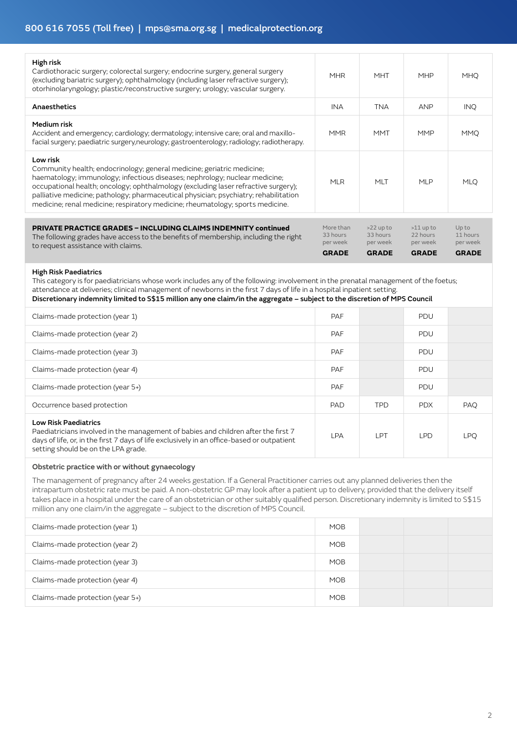| High risk<br>Cardiothoracic surgery; colorectal surgery; endocrine surgery, general surgery<br>(excluding bariatric surgery); ophthalmology (including laser refractive surgery);<br>otorhinolaryngology; plastic/reconstructive surgery; urology; vascular surgery.                                                                                                                                                              | <b>MHR</b>                        | <b>MHT</b>                          | <b>MHP</b>                          | <b>MHQ</b>                   |
|-----------------------------------------------------------------------------------------------------------------------------------------------------------------------------------------------------------------------------------------------------------------------------------------------------------------------------------------------------------------------------------------------------------------------------------|-----------------------------------|-------------------------------------|-------------------------------------|------------------------------|
| Anaesthetics                                                                                                                                                                                                                                                                                                                                                                                                                      | <b>INA</b>                        | <b>TNA</b>                          | ANP                                 | INQ.                         |
| Medium risk<br>Accident and emergency; cardiology; dermatology; intensive care; oral and maxillo-<br>facial surgery; paediatric surgery, neurology; gastroenterology; radiology; radiotherapy.                                                                                                                                                                                                                                    | <b>MMR</b>                        | <b>MMT</b>                          | <b>MMP</b>                          | <b>MMQ</b>                   |
| Low risk<br>Community health; endocrinology; general medicine; geriatric medicine;<br>haematology; immunology; infectious diseases; nephrology; nuclear medicine;<br>occupational health; oncology; ophthalmology (excluding laser refractive surgery);<br>palliative medicine; pathology; pharmaceutical physician; psychiatry; rehabilitation<br>medicine; renal medicine; respiratory medicine; rheumatology; sports medicine. | <b>MLR</b>                        | MLT                                 | <b>MLP</b>                          | <b>MLQ</b>                   |
|                                                                                                                                                                                                                                                                                                                                                                                                                                   |                                   |                                     |                                     |                              |
| <b>PRIVATE PRACTICE GRADES - INCLUDING CLAIMS INDEMNITY continued</b><br>The following grades have access to the benefits of membership, including the right<br>to request assistance with claims.                                                                                                                                                                                                                                | More than<br>33 hours<br>per week | $>22$ up to<br>33 hours<br>per week | $>11$ up to<br>22 hours<br>per week | Upto<br>11 hours<br>per week |
|                                                                                                                                                                                                                                                                                                                                                                                                                                   | <b>GRADE</b>                      | <b>GRADE</b>                        | <b>GRADE</b>                        | <b>GRADE</b>                 |

#### High Risk Paediatrics

This category is for paediatricians whose work includes any of the following: involvement in the prenatal management of the foetus; attendance at deliveries; clinical management of newborns in the first 7 days of life in a hospital inpatient setting. Discretionary indemnity limited to S\$15 million any one claim/in the aggregate – subject to the discretion of MPS Council

| Claims-made protection (year 1)                                                                                                                                                                                                                        | <b>PAF</b> |            | <b>PDU</b> |            |
|--------------------------------------------------------------------------------------------------------------------------------------------------------------------------------------------------------------------------------------------------------|------------|------------|------------|------------|
| Claims-made protection (year 2)                                                                                                                                                                                                                        | <b>PAF</b> |            | PDU        |            |
| Claims-made protection (year 3)                                                                                                                                                                                                                        | <b>PAF</b> |            | <b>PDU</b> |            |
| Claims-made protection (year 4)                                                                                                                                                                                                                        | <b>PAF</b> |            | <b>PDU</b> |            |
| Claims-made protection (year 5+)                                                                                                                                                                                                                       | <b>PAF</b> |            | <b>PDU</b> |            |
| Occurrence based protection                                                                                                                                                                                                                            | <b>PAD</b> | <b>TPD</b> | <b>PDX</b> | PAQ        |
| <b>Low Risk Paediatrics</b><br>Paediatricians involved in the management of babies and children after the first 7<br>days of life, or, in the first 7 days of life exclusively in an office-based or outpatient<br>setting should be on the LPA grade. | <b>LPA</b> | LPT        | <b>LPD</b> | <b>LPQ</b> |

#### Obstetric practice with or without gynaecology

The management of pregnancy after 24 weeks gestation. If a General Practitioner carries out any planned deliveries then the intrapartum obstetric rate must be paid. A non-obstetric GP may look after a patient up to delivery, provided that the delivery itself takes place in a hospital under the care of an obstetrician or other suitably qualified person. Discretionary indemnity is limited to S\$15 million any one claim/in the aggregate – subject to the discretion of MPS Council.

| Claims-made protection (year 1)  | <b>MOB</b> |  |  |
|----------------------------------|------------|--|--|
| Claims-made protection (year 2)  | <b>MOB</b> |  |  |
| Claims-made protection (year 3)  | <b>MOB</b> |  |  |
| Claims-made protection (year 4)  | <b>MOB</b> |  |  |
| Claims-made protection (year 5+) | <b>MOB</b> |  |  |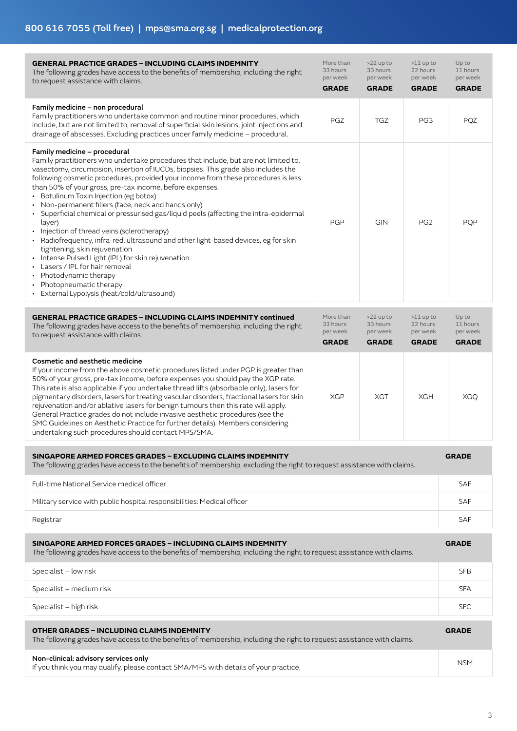| <b>GENERAL PRACTICE GRADES - INCLUDING CLAIMS INDEMNITY</b><br>The following grades have access to the benefits of membership, including the right<br>to request assistance with claims.                                                                                                                                                                                                                                                                                                                                                                                                                                                                                                                                                                                                                                                                                                                          | More than<br>33 hours<br>per week<br><b>GRADE</b> | $>22$ up to<br>33 hours<br>per week<br><b>GRADE</b> | $>11$ up to<br>22 hours<br>per week<br><b>GRADE</b> | Up to<br>11 hours<br>per week<br><b>GRADE</b> |
|-------------------------------------------------------------------------------------------------------------------------------------------------------------------------------------------------------------------------------------------------------------------------------------------------------------------------------------------------------------------------------------------------------------------------------------------------------------------------------------------------------------------------------------------------------------------------------------------------------------------------------------------------------------------------------------------------------------------------------------------------------------------------------------------------------------------------------------------------------------------------------------------------------------------|---------------------------------------------------|-----------------------------------------------------|-----------------------------------------------------|-----------------------------------------------|
| Family medicine - non procedural<br>Family practitioners who undertake common and routine minor procedures, which<br>include, but are not limited to, removal of superficial skin lesions, joint injections and<br>drainage of abscesses. Excluding practices under family medicine - procedural.                                                                                                                                                                                                                                                                                                                                                                                                                                                                                                                                                                                                                 | <b>PGZ</b>                                        | <b>TGZ</b>                                          | PG <sub>3</sub>                                     | <b>PQZ</b>                                    |
| Family medicine - procedural<br>Family practitioners who undertake procedures that include, but are not limited to,<br>vasectomy, circumcision, insertion of IUCDs, biopsies. This grade also includes the<br>following cosmetic procedures, provided your income from these procedures is less<br>than 50% of your gross, pre-tax income, before expenses.<br>• Botulinum Toxin Injection (eg botox)<br>Non-permanent fillers (face, neck and hands only)<br>Superficial chemical or pressurised gas/liquid peels (affecting the intra-epidermal<br>layer)<br>Injection of thread veins (sclerotherapy)<br>Radiofrequency, infra-red, ultrasound and other light-based devices, eg for skin<br>tightening, skin rejuvenation<br>Intense Pulsed Light (IPL) for skin rejuvenation<br>Lasers / IPL for hair removal<br>Photodynamic therapy<br>Photopneumatic therapy<br>External Lypolysis (heat/cold/ultrasound) | <b>PGP</b>                                        | GIN                                                 | PG <sub>2</sub>                                     | <b>PQP</b>                                    |
| <b>GENERAL PRACTICE GRADES - INCLUDING CLAIMS INDEMNITY continued</b><br>The following grades have access to the benefits of membership, including the right<br>to request assistance with claims.                                                                                                                                                                                                                                                                                                                                                                                                                                                                                                                                                                                                                                                                                                                | More than<br>33 hours<br>per week<br><b>GRADE</b> | $>22$ up to<br>33 hours<br>per week<br><b>GRADE</b> | $>11$ up to<br>22 hours<br>per week<br><b>GRADE</b> | Up to<br>11 hours<br>per week<br><b>GRADE</b> |
| Cosmetic and aesthetic medicine<br>If your income from the above cosmetic procedures listed under PGP is greater than<br>50% of your gross, pre-tax income, before expenses you should pay the XGP rate.<br>This rate is also applicable if you undertake thread lifts (absorbable only), lasers for<br>pigmentary disorders, lasers for treating vascular disorders, fractional lasers for skin<br>rejuvenation and/or ablative lasers for benign tumours then this rate will apply.<br>General Practice grades do not include invasive aesthetic procedures (see the<br>SMC Guidelines on Aesthetic Practice for further details). Members considering<br>undertaking such procedures should contact MPS/SMA.                                                                                                                                                                                                   | <b>XGP</b>                                        | XGT                                                 | <b>XGH</b>                                          | <b>XGQ</b>                                    |
| SINGAPORE ARMED FORCES GRADES - EXCLUDING CLAIMS INDEMNITY<br>The following grades have access to the benefits of membership, excluding the right to request assistance with claims.                                                                                                                                                                                                                                                                                                                                                                                                                                                                                                                                                                                                                                                                                                                              |                                                   |                                                     |                                                     | <b>GRADE</b>                                  |
| Full-time National Service medical officer                                                                                                                                                                                                                                                                                                                                                                                                                                                                                                                                                                                                                                                                                                                                                                                                                                                                        |                                                   |                                                     |                                                     | <b>SAF</b>                                    |
| Military service with public hospital responsibilities: Medical officer                                                                                                                                                                                                                                                                                                                                                                                                                                                                                                                                                                                                                                                                                                                                                                                                                                           |                                                   |                                                     |                                                     | <b>SAF</b>                                    |
| Registrar                                                                                                                                                                                                                                                                                                                                                                                                                                                                                                                                                                                                                                                                                                                                                                                                                                                                                                         |                                                   |                                                     |                                                     | SAF                                           |
| SINGAPORE ARMED FORCES GRADES - INCLUDING CLAIMS INDEMNITY<br>The following grades have access to the benefits of membership, including the right to request assistance with claims.                                                                                                                                                                                                                                                                                                                                                                                                                                                                                                                                                                                                                                                                                                                              |                                                   |                                                     |                                                     |                                               |
| Specialist - low risk                                                                                                                                                                                                                                                                                                                                                                                                                                                                                                                                                                                                                                                                                                                                                                                                                                                                                             |                                                   |                                                     |                                                     |                                               |
| Specialist - medium risk                                                                                                                                                                                                                                                                                                                                                                                                                                                                                                                                                                                                                                                                                                                                                                                                                                                                                          |                                                   |                                                     |                                                     |                                               |
| Specialist - high risk                                                                                                                                                                                                                                                                                                                                                                                                                                                                                                                                                                                                                                                                                                                                                                                                                                                                                            |                                                   |                                                     |                                                     |                                               |
| <b>OTHER GRADES - INCLUDING CLAIMS INDEMNITY</b><br>The following grades have access to the benefits of membership, including the right to request assistance with claims.                                                                                                                                                                                                                                                                                                                                                                                                                                                                                                                                                                                                                                                                                                                                        |                                                   |                                                     |                                                     |                                               |
| Non-clinical: advisory services only<br>If you think you may qualify, please contact SMA/MPS with details of your practice.                                                                                                                                                                                                                                                                                                                                                                                                                                                                                                                                                                                                                                                                                                                                                                                       |                                                   |                                                     |                                                     |                                               |